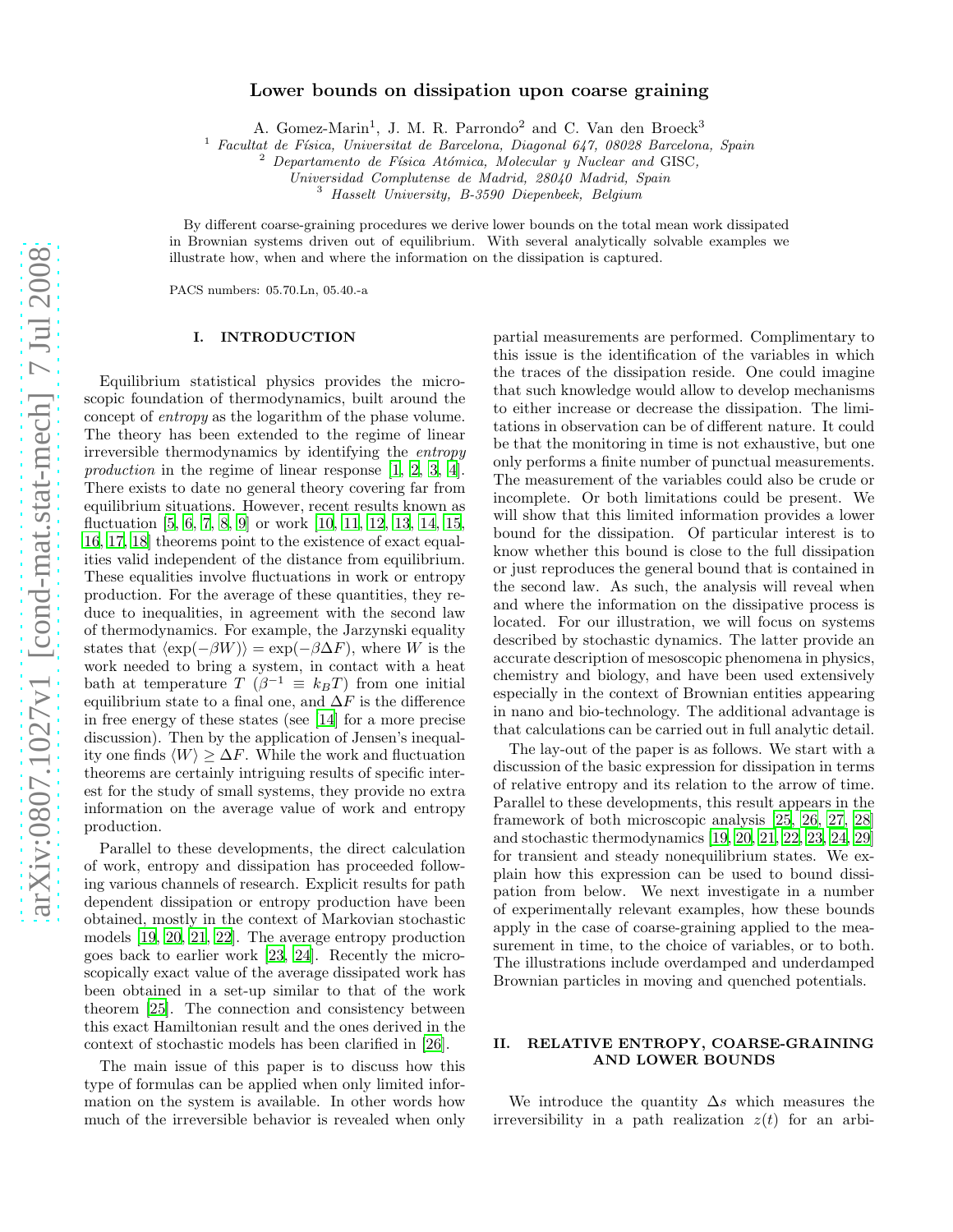# Lower bounds on dissipation upon coarse graining

A. Gomez-Marin<sup>1</sup>, J. M. R. Parrondo<sup>2</sup> and C. Van den Broeck<sup>3</sup>

<sup>1</sup> Facultat de Física, Universitat de Barcelona, Diagonal 647, 08028 Barcelona, Spain<br><sup>2</sup> Dependements de Físics Atámics, Melesulan y Nuelsen and CISC

Departamento de Física Atómica, Molecular y Nuclear and GISC,

Universidad Complutense de Madrid, 28040 Madrid, Spain

<sup>3</sup> Hasselt University, B-3590 Diepenbeek, Belgium

By different coarse-graining procedures we derive lower bounds on the total mean work dissipated in Brownian systems driven out of equilibrium. With several analytically solvable examples we illustrate how, when and where the information on the dissipation is captured.

PACS numbers: 05.70.Ln, 05.40.-a

## I. INTRODUCTION

Equilibrium statistical physics provides the microscopic foundation of thermodynamics, built around the concept of entropy as the logarithm of the phase volume. The theory has been extended to the regime of linear irreversible thermodynamics by identifying the entropy production in the regime of linear response [\[1](#page-10-0), [2](#page-10-1), [3](#page-10-2), [4\]](#page-10-3). There exists to date no general theory covering far from equilibrium situations. However, recent results known as fluctuation [\[5](#page-10-4), [6,](#page-10-5) [7](#page-10-6), [8,](#page-10-7) [9](#page-10-8)] or work [\[10](#page-10-9), [11,](#page-10-10) [12](#page-10-11), [13,](#page-10-12) [14](#page-10-13), [15](#page-10-14), [16,](#page-10-15) [17,](#page-10-16) [18\]](#page-10-17) theorems point to the existence of exact equalities valid independent of the distance from equilibrium. These equalities involve fluctuations in work or entropy production. For the average of these quantities, they reduce to inequalities, in agreement with the second law of thermodynamics. For example, the Jarzynski equality states that  $\langle \exp(-\beta W) \rangle = \exp(-\beta \Delta F)$ , where W is the work needed to bring a system, in contact with a heat bath at temperature  $T(\beta^{-1} \equiv k_B T)$  from one initial equilibrium state to a final one, and  $\Delta F$  is the difference in free energy of these states (see [\[14\]](#page-10-13) for a more precise discussion). Then by the application of Jensen's inequality one finds  $\langle W \rangle \geq \Delta F$ . While the work and fluctuation theorems are certainly intriguing results of specific interest for the study of small systems, they provide no extra information on the average value of work and entropy production.

Parallel to these developments, the direct calculation of work, entropy and dissipation has proceeded following various channels of research. Explicit results for path dependent dissipation or entropy production have been obtained, mostly in the context of Markovian stochastic models [\[19](#page-10-18), [20,](#page-10-19) [21,](#page-10-20) [22\]](#page-10-21). The average entropy production goes back to earlier work [\[23,](#page-10-22) [24\]](#page-10-23). Recently the microscopically exact value of the average dissipated work has been obtained in a set-up similar to that of the work theorem [\[25](#page-10-24)]. The connection and consistency between this exact Hamiltonian result and the ones derived in the context of stochastic models has been clarified in [\[26\]](#page-10-25).

The main issue of this paper is to discuss how this type of formulas can be applied when only limited information on the system is available. In other words how much of the irreversible behavior is revealed when only

partial measurements are performed. Complimentary to this issue is the identification of the variables in which the traces of the dissipation reside. One could imagine that such knowledge would allow to develop mechanisms to either increase or decrease the dissipation. The limitations in observation can be of different nature. It could be that the monitoring in time is not exhaustive, but one only performs a finite number of punctual measurements. The measurement of the variables could also be crude or incomplete. Or both limitations could be present. We will show that this limited information provides a lower bound for the dissipation. Of particular interest is to know whether this bound is close to the full dissipation or just reproduces the general bound that is contained in the second law. As such, the analysis will reveal when and where the information on the dissipative process is located. For our illustration, we will focus on systems described by stochastic dynamics. The latter provide an accurate description of mesoscopic phenomena in physics, chemistry and biology, and have been used extensively especially in the context of Brownian entities appearing in nano and bio-technology. The additional advantage is that calculations can be carried out in full analytic detail.

The lay-out of the paper is as follows. We start with a discussion of the basic expression for dissipation in terms of relative entropy and its relation to the arrow of time. Parallel to these developments, this result appears in the framework of both microscopic analysis [\[25,](#page-10-24) [26,](#page-10-25) [27,](#page-10-26) [28](#page-10-27)] and stochastic thermodynamics [\[19,](#page-10-18) [20,](#page-10-19) [21](#page-10-20), [22,](#page-10-21) [23,](#page-10-22) [24](#page-10-23), [29](#page-10-28)] for transient and steady nonequilibrium states. We explain how this expression can be used to bound dissipation from below. We next investigate in a number of experimentally relevant examples, how these bounds apply in the case of coarse-graining applied to the measurement in time, to the choice of variables, or to both. The illustrations include overdamped and underdamped Brownian particles in moving and quenched potentials.

# II. RELATIVE ENTROPY, COARSE-GRAINING AND LOWER BOUNDS

We introduce the quantity  $\Delta s$  which measures the irreversibility in a path realization  $z(t)$  for an arbi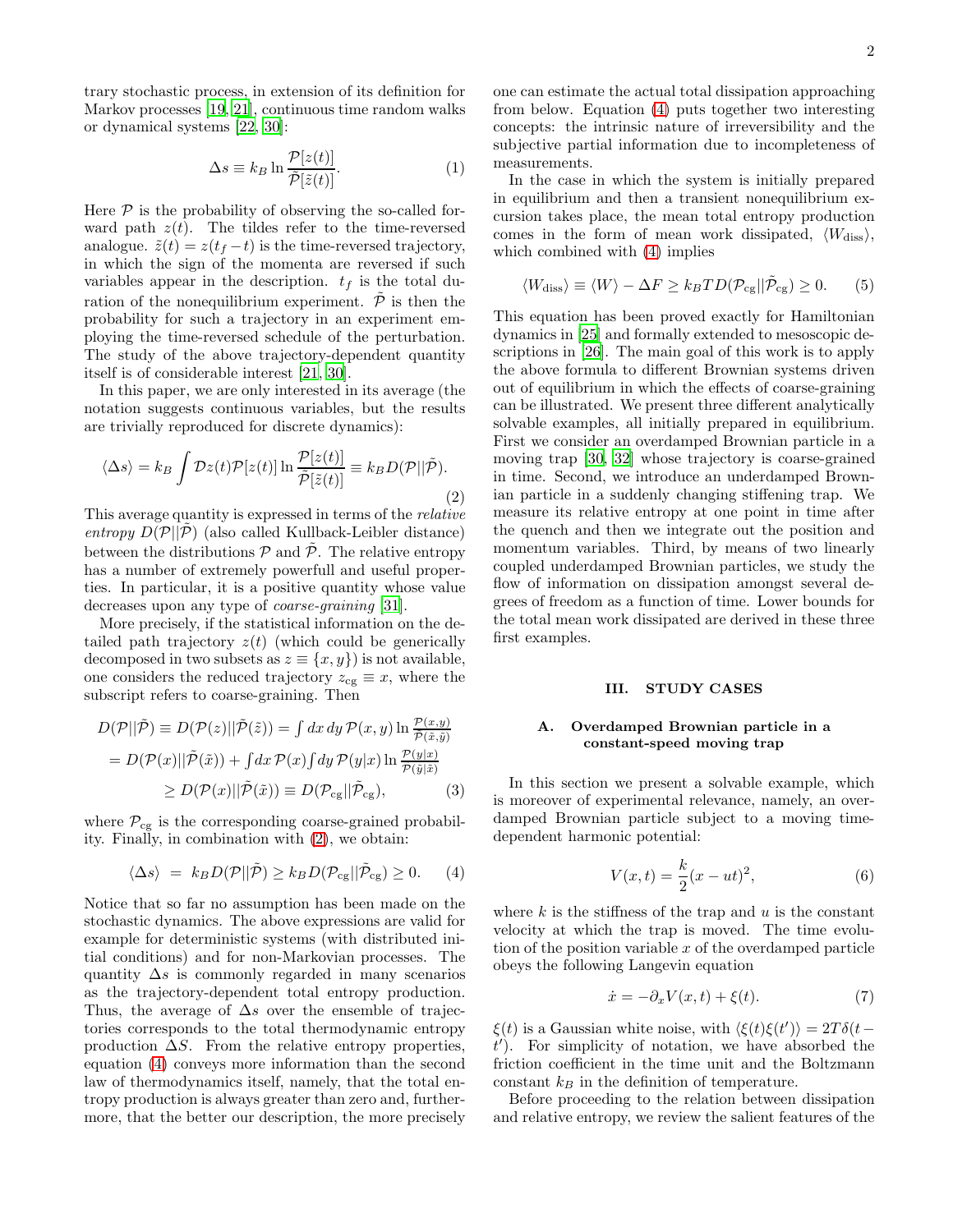trary stochastic process, in extension of its definition for Markov processes [\[19,](#page-10-18) [21](#page-10-20)], continuous time random walks or dynamical systems [\[22,](#page-10-21) [30\]](#page-10-29):

$$
\Delta s \equiv k_B \ln \frac{\mathcal{P}[z(t)]}{\tilde{\mathcal{P}}[\tilde{z}(t)]}.
$$
 (1)

Here  $P$  is the probability of observing the so-called forward path  $z(t)$ . The tildes refer to the time-reversed analogue.  $\tilde{z}(t) = z(t_f - t)$  is the time-reversed trajectory, in which the sign of the momenta are reversed if such variables appear in the description.  $t_f$  is the total duration of the nonequilibrium experiment.  $\tilde{\mathcal{P}}$  is then the probability for such a trajectory in an experiment employing the time-reversed schedule of the perturbation. The study of the above trajectory-dependent quantity itself is of considerable interest [\[21,](#page-10-20) [30\]](#page-10-29).

In this paper, we are only interested in its average (the notation suggests continuous variables, but the results are trivially reproduced for discrete dynamics):

<span id="page-1-0"></span>
$$
\langle \Delta s \rangle = k_B \int \mathcal{D}z(t) \mathcal{P}[z(t)] \ln \frac{\mathcal{P}[z(t)]}{\tilde{\mathcal{P}}[\tilde{z}(t)]} \equiv k_B D(\mathcal{P}||\tilde{\mathcal{P}}). \tag{2}
$$

This average quantity is expressed in terms of the relative entropy  $D(\mathcal{P}||\mathcal{P})$  (also called Kullback-Leibler distance) between the distributions  $P$  and  $\overline{P}$ . The relative entropy has a number of extremely powerfull and useful properties. In particular, it is a positive quantity whose value decreases upon any type of coarse-graining [\[31\]](#page-10-30).

More precisely, if the statistical information on the detailed path trajectory  $z(t)$  (which could be generically decomposed in two subsets as  $z \equiv \{x, y\}$  is not available, one considers the reduced trajectory  $z_{cg} \equiv x$ , where the subscript refers to coarse-graining. Then

<span id="page-1-5"></span>
$$
D(\mathcal{P}||\tilde{\mathcal{P}}) \equiv D(\mathcal{P}(z)||\tilde{\mathcal{P}}(\tilde{z})) = \int dx \, dy \, \mathcal{P}(x, y) \ln \frac{\mathcal{P}(x, y)}{\tilde{\mathcal{P}}(\tilde{x}, \tilde{y})}
$$

$$
= D(\mathcal{P}(x)||\tilde{\mathcal{P}}(\tilde{x})) + \int dx \, \mathcal{P}(x) \int dy \, \mathcal{P}(y|x) \ln \frac{\mathcal{P}(y|x)}{\tilde{\mathcal{P}}(\tilde{y}|\tilde{x})}
$$

$$
\geq D(\mathcal{P}(x)||\tilde{\mathcal{P}}(\tilde{x})) \equiv D(\mathcal{P}_{cg}||\tilde{\mathcal{P}}_{cg}), \qquad (3)
$$

where  $P_{cg}$  is the corresponding coarse-grained probability. Finally, in combination with [\(2\)](#page-1-0), we obtain:

<span id="page-1-1"></span>
$$
\langle \Delta s \rangle = k_B D(\mathcal{P} || \tilde{\mathcal{P}}) \ge k_B D(\mathcal{P}_{cg} || \tilde{\mathcal{P}}_{cg}) \ge 0. \tag{4}
$$

Notice that so far no assumption has been made on the stochastic dynamics. The above expressions are valid for example for deterministic systems (with distributed initial conditions) and for non-Markovian processes. The quantity  $\Delta s$  is commonly regarded in many scenarios as the trajectory-dependent total entropy production. Thus, the average of  $\Delta s$  over the ensemble of trajectories corresponds to the total thermodynamic entropy production  $\Delta S$ . From the relative entropy properties, equation [\(4\)](#page-1-1) conveys more information than the second law of thermodynamics itself, namely, that the total entropy production is always greater than zero and, furthermore, that the better our description, the more precisely

one can estimate the actual total dissipation approaching from below. Equation [\(4\)](#page-1-1) puts together two interesting concepts: the intrinsic nature of irreversibility and the subjective partial information due to incompleteness of measurements.

In the case in which the system is initially prepared in equilibrium and then a transient nonequilibrium excursion takes place, the mean total entropy production comes in the form of mean work dissipated,  $\langle W_{\text{diss}}\rangle$ , which combined with [\(4\)](#page-1-1) implies

<span id="page-1-4"></span>
$$
\langle W_{\text{diss}} \rangle \equiv \langle W \rangle - \Delta F \ge k_B T D(\mathcal{P}_{\text{cg}} || \tilde{\mathcal{P}}_{\text{cg}}) \ge 0. \tag{5}
$$

This equation has been proved exactly for Hamiltonian dynamics in [\[25\]](#page-10-24) and formally extended to mesoscopic descriptions in [\[26\]](#page-10-25). The main goal of this work is to apply the above formula to different Brownian systems driven out of equilibrium in which the effects of coarse-graining can be illustrated. We present three different analytically solvable examples, all initially prepared in equilibrium. First we consider an overdamped Brownian particle in a moving trap [\[30,](#page-10-29) [32\]](#page-10-31) whose trajectory is coarse-grained in time. Second, we introduce an underdamped Brownian particle in a suddenly changing stiffening trap. We measure its relative entropy at one point in time after the quench and then we integrate out the position and momentum variables. Third, by means of two linearly coupled underdamped Brownian particles, we study the flow of information on dissipation amongst several degrees of freedom as a function of time. Lower bounds for the total mean work dissipated are derived in these three first examples.

#### III. STUDY CASES

## A. Overdamped Brownian particle in a constant-speed moving trap

In this section we present a solvable example, which is moreover of experimental relevance, namely, an overdamped Brownian particle subject to a moving timedependent harmonic potential:

<span id="page-1-2"></span>
$$
V(x,t) = \frac{k}{2}(x - ut)^2,
$$
 (6)

where  $k$  is the stiffness of the trap and  $u$  is the constant velocity at which the trap is moved. The time evolution of the position variable  $x$  of the overdamped particle obeys the following Langevin equation

<span id="page-1-3"></span>
$$
\dot{x} = -\partial_x V(x, t) + \xi(t). \tag{7}
$$

 $\xi(t)$  is a Gaussian white noise, with  $\langle \xi(t)\xi(t')\rangle = 2T\delta(t-t')$ t ′ ). For simplicity of notation, we have absorbed the friction coefficient in the time unit and the Boltzmann constant  $k_B$  in the definition of temperature.

Before proceeding to the relation between dissipation and relative entropy, we review the salient features of the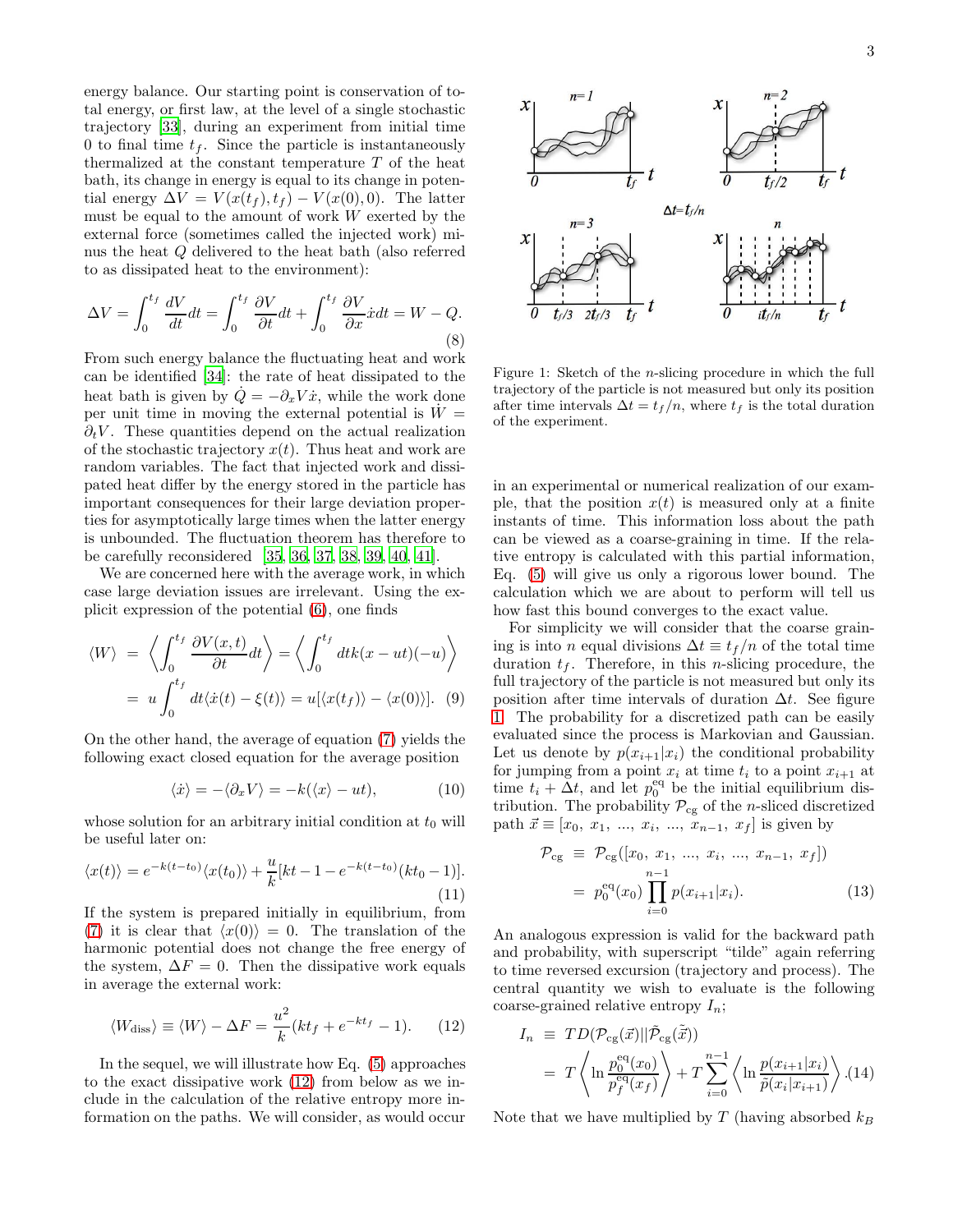energy balance. Our starting point is conservation of total energy, or first law, at the level of a single stochastic trajectory [\[33](#page-10-32)], during an experiment from initial time 0 to final time  $t_f$ . Since the particle is instantaneously thermalized at the constant temperature  $T$  of the heat bath, its change in energy is equal to its change in potential energy  $\Delta V = V(x(t_f), t_f) - V(x(0), 0)$ . The latter must be equal to the amount of work  $W$  exerted by the external force (sometimes called the injected work) minus the heat Q delivered to the heat bath (also referred to as dissipated heat to the environment):

$$
\Delta V = \int_0^{t_f} \frac{dV}{dt} dt = \int_0^{t_f} \frac{\partial V}{\partial t} dt + \int_0^{t_f} \frac{\partial V}{\partial x} \dot{x} dt = W - Q. \tag{8}
$$

From such energy balance the fluctuating heat and work can be identified [\[34\]](#page-10-33): the rate of heat dissipated to the heat bath is given by  $\dot{Q} = -\partial_x V \dot{x}$ , while the work done per unit time in moving the external potential is  $W =$  $\partial_t V$ . These quantities depend on the actual realization of the stochastic trajectory  $x(t)$ . Thus heat and work are random variables. The fact that injected work and dissipated heat differ by the energy stored in the particle has important consequences for their large deviation properties for asymptotically large times when the latter energy is unbounded. The fluctuation theorem has therefore to be carefully reconsidered [\[35](#page-10-34), [36](#page-10-35), [37](#page-10-36), [38](#page-10-37), [39,](#page-10-38) [40](#page-10-39), [41\]](#page-11-0).

We are concerned here with the average work, in which case large deviation issues are irrelevant. Using the explicit expression of the potential [\(6\)](#page-1-2), one finds

$$
\langle W \rangle = \left\langle \int_0^{t_f} \frac{\partial V(x,t)}{\partial t} dt \right\rangle = \left\langle \int_0^{t_f} dt k(x - ut)(-u) \right\rangle
$$
  
=  $u \int_0^{t_f} dt \langle \dot{x}(t) - \xi(t) \rangle = u[\langle x(t_f) \rangle - \langle x(0) \rangle].$  (9)

On the other hand, the average of equation [\(7\)](#page-1-3) yields the following exact closed equation for the average position

$$
\langle \dot{x} \rangle = -\langle \partial_x V \rangle = -k(\langle x \rangle - ut), \tag{10}
$$

whose solution for an arbitrary initial condition at  $t_0$  will be useful later on:

<span id="page-2-2"></span>
$$
\langle x(t) \rangle = e^{-k(t-t_0)} \langle x(t_0) \rangle + \frac{u}{k} [kt - 1 - e^{-k(t-t_0)}(kt_0 - 1)].
$$
\n(11)

If the system is prepared initially in equilibrium, from [\(7\)](#page-1-3) it is clear that  $\langle x(0) \rangle = 0$ . The translation of the harmonic potential does not change the free energy of the system,  $\Delta F = 0$ . Then the dissipative work equals in average the external work:

<span id="page-2-0"></span>
$$
\langle W_{\text{diss}} \rangle \equiv \langle W \rangle - \Delta F = \frac{u^2}{k} (kt_f + e^{-kt_f} - 1). \tag{12}
$$

In the sequel, we will illustrate how Eq. [\(5\)](#page-1-4) approaches to the exact dissipative work [\(12\)](#page-2-0) from below as we include in the calculation of the relative entropy more information on the paths. We will consider, as would occur



<span id="page-2-1"></span>Figure 1: Sketch of the n-slicing procedure in which the full trajectory of the particle is not measured but only its position after time intervals  $\Delta t = t_f/n$ , where  $t_f$  is the total duration of the experiment.

in an experimental or numerical realization of our example, that the position  $x(t)$  is measured only at a finite instants of time. This information loss about the path can be viewed as a coarse-graining in time. If the relative entropy is calculated with this partial information, Eq. [\(5\)](#page-1-4) will give us only a rigorous lower bound. The calculation which we are about to perform will tell us how fast this bound converges to the exact value.

For simplicity we will consider that the coarse graining is into *n* equal divisions  $\Delta t \equiv t_f/n$  of the total time duration  $t_f$ . Therefore, in this *n*-slicing procedure, the full trajectory of the particle is not measured but only its position after time intervals of duration  $\Delta t$ . See figure [1.](#page-2-1) The probability for a discretized path can be easily evaluated since the process is Markovian and Gaussian. Let us denote by  $p(x_{i+1}|x_i)$  the conditional probability for jumping from a point  $x_i$  at time  $t_i$  to a point  $x_{i+1}$  at time  $t_i + \Delta t$ , and let  $p_0^{\text{eq}}$  be the initial equilibrium distribution. The probability  $\mathcal{P}_{cg}$  of the *n*-sliced discretized path  $\vec{x} \equiv [x_0, x_1, ..., x_i, ..., x_{n-1}, x_f]$  is given by

$$
\mathcal{P}_{cg} \equiv \mathcal{P}_{cg}([x_0, x_1, ..., x_i, ..., x_{n-1}, x_f])
$$
  
=  $p_0^{eq}(x_0) \prod_{i=0}^{n-1} p(x_{i+1}|x_i).$  (13)

An analogous expression is valid for the backward path and probability, with superscript "tilde" again referring to time reversed excursion (trajectory and process). The central quantity we wish to evaluate is the following coarse-grained relative entropy  $I_n$ ;

<span id="page-2-3"></span>
$$
I_n \equiv TD(\mathcal{P}_{cg}(\vec{x}) || \tilde{\mathcal{P}}_{cg}(\tilde{\vec{x}}))
$$
  
=  $T \left\langle \ln \frac{p_0^{eq}(x_0)}{p_f^{eq}(x_f)} \right\rangle + T \sum_{i=0}^{n-1} \left\langle \ln \frac{p(x_{i+1}|x_i)}{\tilde{p}(x_i|x_{i+1})} \right\rangle$ . (14)

Note that we have multiplied by T (having absorbed  $k_B$ )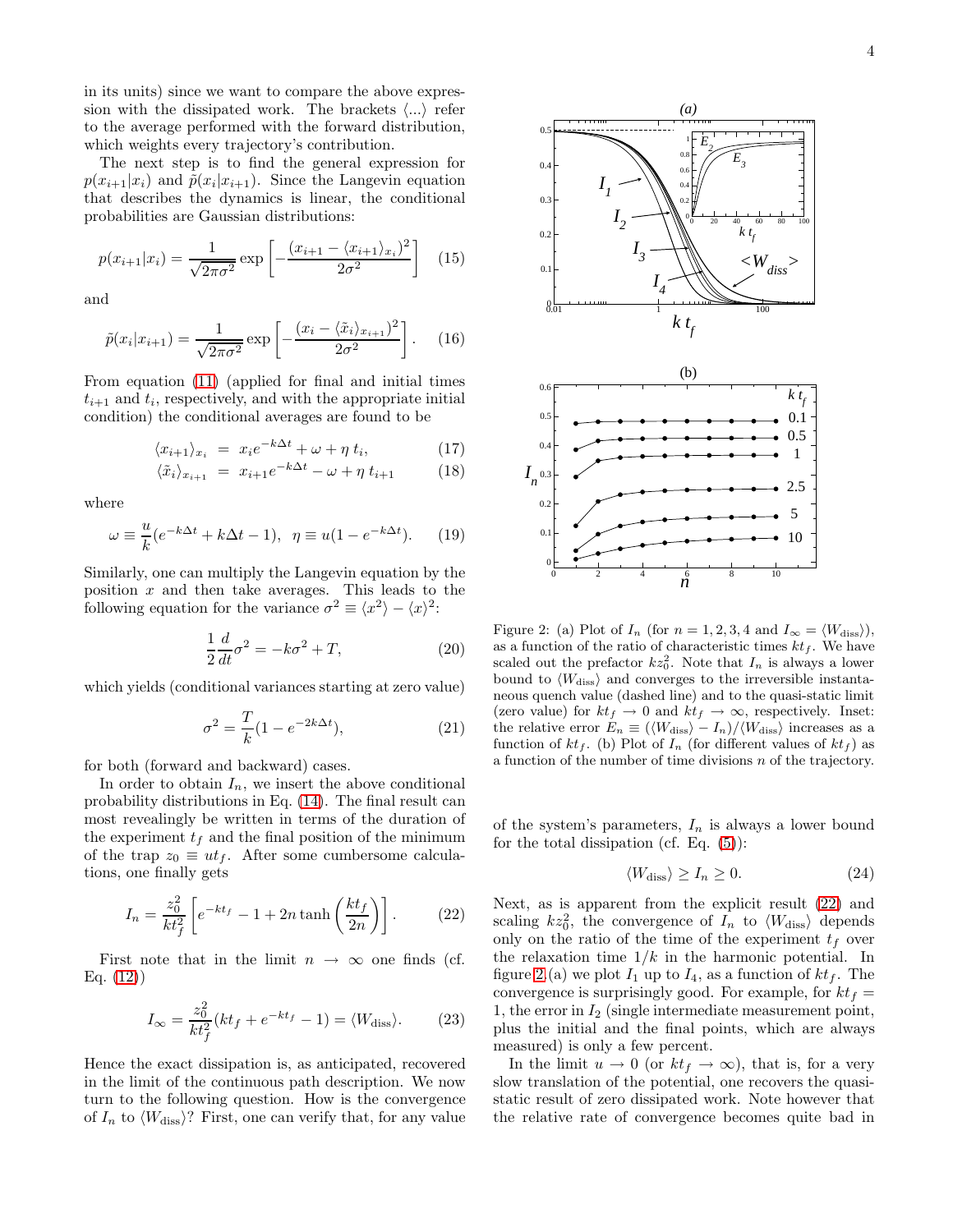in its units) since we want to compare the above expression with the dissipated work. The brackets  $\langle ... \rangle$  refer to the average performed with the forward distribution, which weights every trajectory's contribution.

The next step is to find the general expression for  $p(x_{i+1}|x_i)$  and  $\tilde{p}(x_i|x_{i+1})$ . Since the Langevin equation that describes the dynamics is linear, the conditional probabilities are Gaussian distributions:

$$
p(x_{i+1}|x_i) = \frac{1}{\sqrt{2\pi\sigma^2}} \exp\left[-\frac{(x_{i+1} - \langle x_{i+1} \rangle_{x_i})^2}{2\sigma^2}\right] \tag{15}
$$

and

$$
\tilde{p}(x_i|x_{i+1}) = \frac{1}{\sqrt{2\pi\sigma^2}} \exp\left[-\frac{(x_i - \langle \tilde{x}_i \rangle_{x_{i+1}})^2}{2\sigma^2}\right].
$$
 (16)

From equation [\(11\)](#page-2-2) (applied for final and initial times  $t_{i+1}$  and  $t_i$ , respectively, and with the appropriate initial condition) the conditional averages are found to be

$$
\langle x_{i+1} \rangle_{x_i} = x_i e^{-k\Delta t} + \omega + \eta t_i, \qquad (17)
$$

$$
\langle \tilde{x}_i \rangle_{x_{i+1}} = x_{i+1} e^{-k\Delta t} - \omega + \eta \ t_{i+1} \tag{18}
$$

where

$$
\omega \equiv \frac{u}{k}(e^{-k\Delta t} + k\Delta t - 1), \ \ \eta \equiv u(1 - e^{-k\Delta t}). \tag{19}
$$

Similarly, one can multiply the Langevin equation by the position  $x$  and then take averages. This leads to the following equation for the variance  $\sigma^2 \equiv \langle x^2 \rangle - \langle x \rangle^2$ :

$$
\frac{1}{2}\frac{d}{dt}\sigma^2 = -k\sigma^2 + T,\tag{20}
$$

which yields (conditional variances starting at zero value)

$$
\sigma^2 = \frac{T}{k}(1 - e^{-2k\Delta t}),\tag{21}
$$

for both (forward and backward) cases.

In order to obtain  $I_n$ , we insert the above conditional probability distributions in Eq. [\(14\)](#page-2-3). The final result can most revealingly be written in terms of the duration of the experiment  $t_f$  and the final position of the minimum of the trap  $z_0 \equiv ut_f$ . After some cumbersome calculations, one finally gets

<span id="page-3-0"></span>
$$
I_n = \frac{z_0^2}{kt_f^2} \left[ e^{-kt_f} - 1 + 2n \tanh\left(\frac{kt_f}{2n}\right) \right].
$$
 (22)

First note that in the limit  $n \to \infty$  one finds (cf. Eq. [\(12\)](#page-2-0))

$$
I_{\infty} = \frac{z_0^2}{kt_f^2}(kt_f + e^{-kt_f} - 1) = \langle W_{\text{diss}}\rangle.
$$
 (23)

Hence the exact dissipation is, as anticipated, recovered in the limit of the continuous path description. We now turn to the following question. How is the convergence of  $I_n$  to  $\langle W_{\text{diss}}\rangle$ ? First, one can verify that, for any value



<span id="page-3-1"></span>Figure 2: (a) Plot of  $I_n$  (for  $n = 1, 2, 3, 4$  and  $I_\infty = \langle W_{\text{diss}} \rangle$ ), as a function of the ratio of characteristic times  $kt_f$ . We have scaled out the prefactor  $kz_0^2$ . Note that  $I_n$  is always a lower bound to  $\langle W_{\text{diss}} \rangle$  and converges to the irreversible instantaneous quench value (dashed line) and to the quasi-static limit (zero value) for  $kt_f \rightarrow 0$  and  $kt_f \rightarrow \infty$ , respectively. Inset: the relative error  $E_n \equiv (\langle W_{\text{diss}} \rangle - I_n)/\langle W_{\text{diss}} \rangle$  increases as a function of  $kt_f$ . (b) Plot of  $I_n$  (for different values of  $kt_f$ ) as a function of the number of time divisions  $n$  of the trajectory.

of the system's parameters,  $I_n$  is always a lower bound for the total dissipation (cf. Eq.  $(5)$ ):

$$
\langle W_{\rm diss} \rangle \ge I_n \ge 0. \tag{24}
$$

Next, as is apparent from the explicit result [\(22\)](#page-3-0) and scaling  $kz_0^2$ , the convergence of  $I_n$  to  $\langle W_{\text{diss}} \rangle$  depends only on the ratio of the time of the experiment  $t_f$  over the relaxation time  $1/k$  in the harmonic potential. In figure [2.](#page-3-1)(a) we plot  $I_1$  up to  $I_4$ , as a function of  $kt_f$ . The convergence is surprisingly good. For example, for  $kt_f =$ 1, the error in  $I_2$  (single intermediate measurement point, plus the initial and the final points, which are always measured) is only a few percent.

In the limit  $u \to 0$  (or  $kt_f \to \infty$ ), that is, for a very slow translation of the potential, one recovers the quasistatic result of zero dissipated work. Note however that the relative rate of convergence becomes quite bad in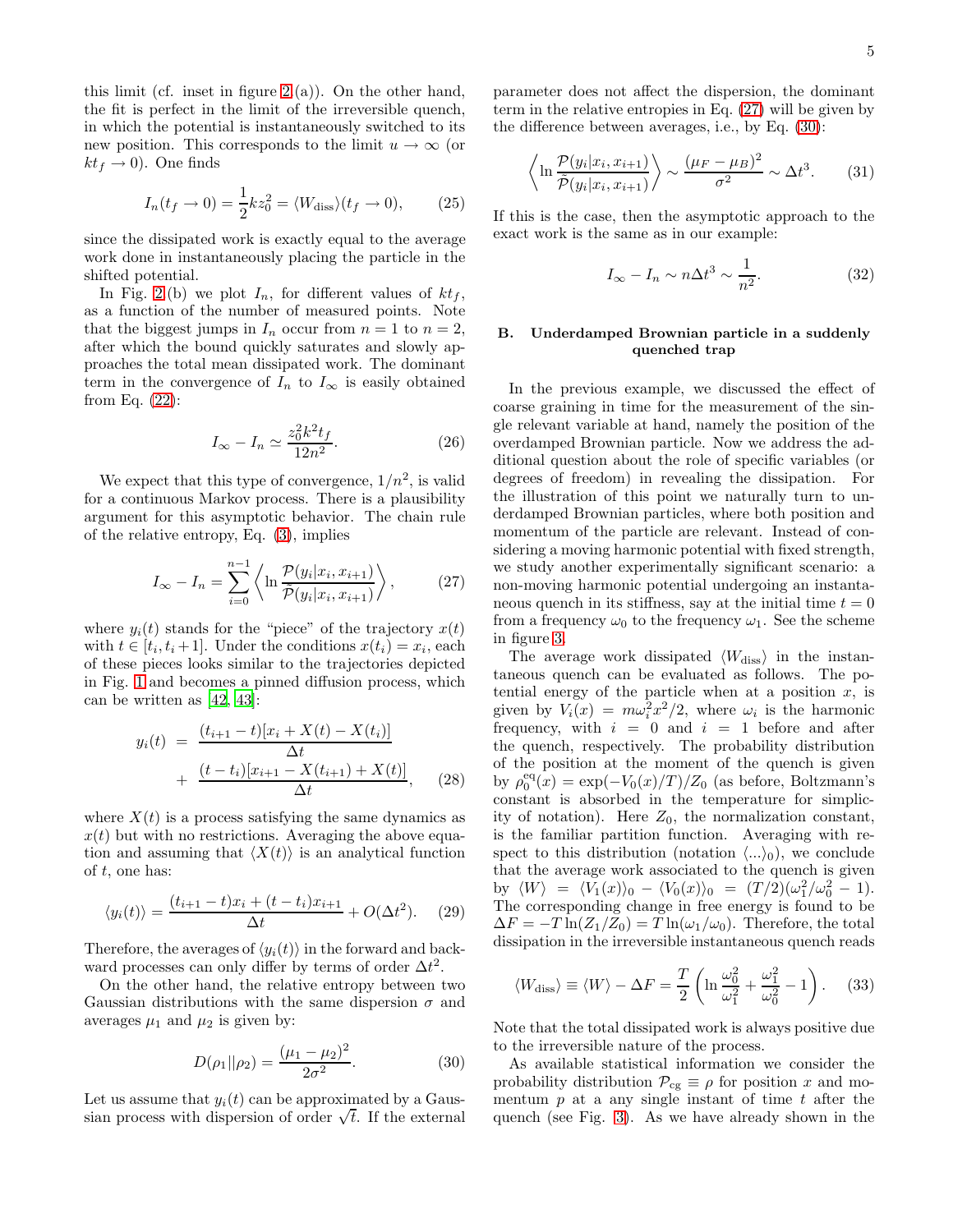this limit (cf. inset in figure  $2.(a)$ ). On the other hand, the fit is perfect in the limit of the irreversible quench, in which the potential is instantaneously switched to its new position. This corresponds to the limit  $u \to \infty$  (or  $kt_f \rightarrow 0$ ). One finds

$$
I_n(t_f \to 0) = \frac{1}{2}kz_0^2 = \langle W_{\text{diss}} \rangle (t_f \to 0), \qquad (25)
$$

since the dissipated work is exactly equal to the average work done in instantaneously placing the particle in the shifted potential.

In Fig. [2.](#page-3-1)(b) we plot  $I_n$ , for different values of  $kt_f$ , as a function of the number of measured points. Note that the biggest jumps in  $I_n$  occur from  $n = 1$  to  $n = 2$ , after which the bound quickly saturates and slowly approaches the total mean dissipated work. The dominant term in the convergence of  $I_n$  to  $I_\infty$  is easily obtained from Eq. [\(22\)](#page-3-0):

$$
I_{\infty} - I_n \simeq \frac{z_0^2 k^2 t_f}{12n^2}.
$$
\n(26)

We expect that this type of convergence,  $1/n^2$ , is valid for a continuous Markov process. There is a plausibility argument for this asymptotic behavior. The chain rule of the relative entropy, Eq. [\(3\)](#page-1-5), implies

<span id="page-4-0"></span>
$$
I_{\infty} - I_n = \sum_{i=0}^{n-1} \left\langle \ln \frac{\mathcal{P}(y_i | x_i, x_{i+1})}{\tilde{\mathcal{P}}(y_i | x_i, x_{i+1})} \right\rangle, \tag{27}
$$

where  $y_i(t)$  stands for the "piece" of the trajectory  $x(t)$ with  $t \in [t_i, t_i + 1]$ . Under the conditions  $x(t_i) = x_i$ , each of these pieces looks similar to the trajectories depicted in Fig. [1](#page-2-1) and becomes a pinned diffusion process, which can be written as [\[42,](#page-11-1) [43\]](#page-11-2):

$$
y_i(t) = \frac{(t_{i+1} - t)[x_i + X(t) - X(t_i)]}{\Delta t} + \frac{(t - t_i)[x_{i+1} - X(t_{i+1}) + X(t)]}{\Delta t},
$$
 (28)

where  $X(t)$  is a process satisfying the same dynamics as  $x(t)$  but with no restrictions. Averaging the above equation and assuming that  $\langle X(t) \rangle$  is an analytical function of  $t$ , one has:

$$
\langle y_i(t) \rangle = \frac{(t_{i+1} - t)x_i + (t - t_i)x_{i+1}}{\Delta t} + O(\Delta t^2). \tag{29}
$$

Therefore, the averages of  $\langle y_i(t) \rangle$  in the forward and backward processes can only differ by terms of order  $\Delta t^2$ .

On the other hand, the relative entropy between two Gaussian distributions with the same dispersion  $\sigma$  and averages  $\mu_1$  and  $\mu_2$  is given by:

<span id="page-4-1"></span>
$$
D(\rho_1||\rho_2) = \frac{(\mu_1 - \mu_2)^2}{2\sigma^2}.
$$
 (30)

Let us assume that  $y_i(t)$  can be approximated by a Gaussian process with dispersion of order  $\sqrt{t}$ . If the external parameter does not affect the dispersion, the dominant term in the relative entropies in Eq. [\(27\)](#page-4-0) will be given by the difference between averages, i.e., by Eq. [\(30\)](#page-4-1):

$$
\left\langle \ln \frac{\mathcal{P}(y_i|x_i, x_{i+1})}{\tilde{\mathcal{P}}(y_i|x_i, x_{i+1})} \right\rangle \sim \frac{(\mu_F - \mu_B)^2}{\sigma^2} \sim \Delta t^3. \tag{31}
$$

If this is the case, then the asymptotic approach to the exact work is the same as in our example:

$$
I_{\infty} - I_n \sim n\Delta t^3 \sim \frac{1}{n^2}.
$$
 (32)

# B. Underdamped Brownian particle in a suddenly quenched trap

In the previous example, we discussed the effect of coarse graining in time for the measurement of the single relevant variable at hand, namely the position of the overdamped Brownian particle. Now we address the additional question about the role of specific variables (or degrees of freedom) in revealing the dissipation. For the illustration of this point we naturally turn to underdamped Brownian particles, where both position and momentum of the particle are relevant. Instead of considering a moving harmonic potential with fixed strength, we study another experimentally significant scenario: a non-moving harmonic potential undergoing an instantaneous quench in its stiffness, say at the initial time  $t = 0$ from a frequency  $\omega_0$  to the frequency  $\omega_1$ . See the scheme in figure [3.](#page-5-0)

The average work dissipated  $\langle W_{\text{diss}} \rangle$  in the instantaneous quench can be evaluated as follows. The potential energy of the particle when at a position  $x$ , is given by  $V_i(x) = m\omega_i^2 x^2/2$ , where  $\omega_i$  is the harmonic frequency, with  $i = 0$  and  $i = 1$  before and after the quench, respectively. The probability distribution of the position at the moment of the quench is given by  $\rho_0^{\text{eq}}(x) = \exp(-V_0(x)/T)/Z_0$  (as before, Boltzmann's constant is absorbed in the temperature for simplicity of notation). Here  $Z_0$ , the normalization constant, is the familiar partition function. Averaging with respect to this distribution (notation  $\langle ...\rangle_0$ ), we conclude that the average work associated to the quench is given by  $\langle W \rangle = \langle V_1(x) \rangle_0 - \langle V_0(x) \rangle_0 = (T/2)(\omega_1^2/\omega_0^2 - 1).$ The corresponding change in free energy is found to be  $\Delta F = -T \ln(Z_1/Z_0) = T \ln(\omega_1/\omega_0)$ . Therefore, the total dissipation in the irreversible instantaneous quench reads

$$
\langle W_{\text{diss}} \rangle \equiv \langle W \rangle - \Delta F = \frac{T}{2} \left( \ln \frac{\omega_0^2}{\omega_1^2} + \frac{\omega_1^2}{\omega_0^2} - 1 \right). \tag{33}
$$

Note that the total dissipated work is always positive due to the irreversible nature of the process.

As available statistical information we consider the probability distribution  $\mathcal{P}_{cg} \equiv \rho$  for position x and momentum  $p$  at a any single instant of time  $t$  after the quench (see Fig. [3\)](#page-5-0). As we have already shown in the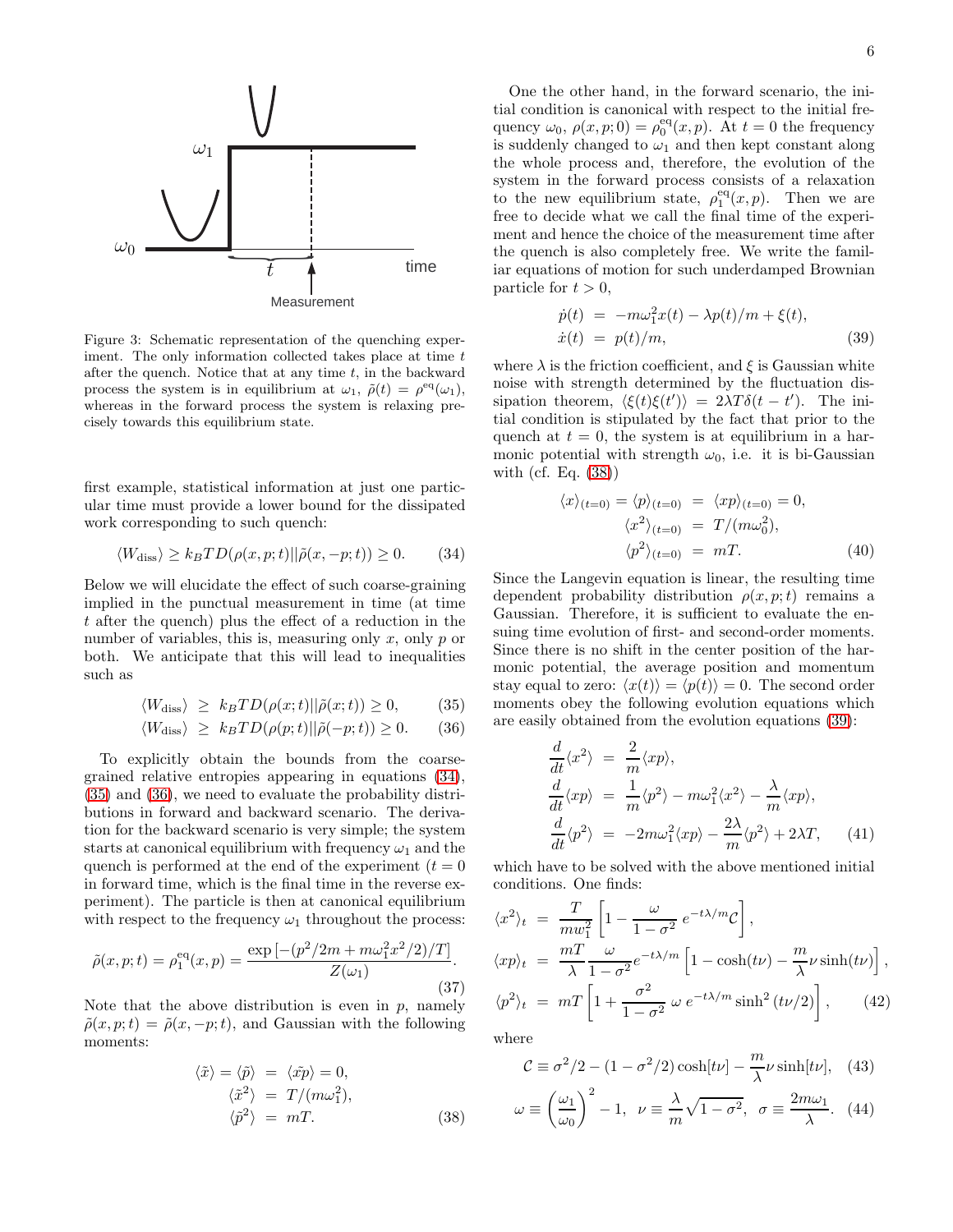

<span id="page-5-0"></span>Figure 3: Schematic representation of the quenching experiment. The only information collected takes place at time  $t$ after the quench. Notice that at any time  $t$ , in the backward process the system is in equilibrium at  $\omega_1$ ,  $\tilde{\rho}(t) = \rho^{\text{eq}}(\omega_1)$ , whereas in the forward process the system is relaxing precisely towards this equilibrium state.

first example, statistical information at just one particular time must provide a lower bound for the dissipated work corresponding to such quench:

<span id="page-5-1"></span>
$$
\langle W_{\text{diss}} \rangle \ge k_B T D(\rho(x, p; t) || \tilde{\rho}(x, -p; t)) \ge 0. \tag{34}
$$

Below we will elucidate the effect of such coarse-graining implied in the punctual measurement in time (at time t after the quench) plus the effect of a reduction in the number of variables, this is, measuring only  $x$ , only  $p$  or both. We anticipate that this will lead to inequalities such as

<span id="page-5-2"></span>
$$
\langle W_{\text{diss}} \rangle \ge k_B T D(\rho(x; t) || \tilde{\rho}(x; t)) \ge 0, \quad (35)
$$

$$
\langle W_{\text{diss}} \rangle \ge k_B T D(\rho(p; t) || \tilde{\rho}(-p; t)) \ge 0. \tag{36}
$$

To explicitly obtain the bounds from the coarsegrained relative entropies appearing in equations [\(34\)](#page-5-1), [\(35\)](#page-5-2) and [\(36\)](#page-5-2), we need to evaluate the probability distributions in forward and backward scenario. The derivation for the backward scenario is very simple; the system starts at canonical equilibrium with frequency  $\omega_1$  and the quench is performed at the end of the experiment  $(t = 0)$ in forward time, which is the final time in the reverse experiment). The particle is then at canonical equilibrium with respect to the frequency  $\omega_1$  throughout the process:

$$
\tilde{\rho}(x, p; t) = \rho_1^{\text{eq}}(x, p) = \frac{\exp\left[-\left(p^2/2m + m\omega_1^2 x^2/2\right)/T\right]}{Z(\omega_1)}.
$$
\n(37)

Note that the above distribution is even in  $p$ , namely  $\tilde{\rho}(x, p; t) = \tilde{\rho}(x, -p; t)$ , and Gaussian with the following moments:

<span id="page-5-3"></span>
$$
\langle \tilde{x} \rangle = \langle \tilde{p} \rangle = \langle \tilde{x}p \rangle = 0, \n\langle \tilde{x}^2 \rangle = T/(m\omega_1^2), \n\langle \tilde{p}^2 \rangle = mT.
$$
\n(38)

One the other hand, in the forward scenario, the initial condition is canonical with respect to the initial frequency  $\omega_0$ ,  $\rho(x, p; 0) = \rho_0^{\text{eq}}(x, p)$ . At  $t = 0$  the frequency is suddenly changed to  $\omega_1$  and then kept constant along the whole process and, therefore, the evolution of the system in the forward process consists of a relaxation to the new equilibrium state,  $\rho_1^{\text{eq}}(x, p)$ . Then we are free to decide what we call the final time of the experiment and hence the choice of the measurement time after the quench is also completely free. We write the familiar equations of motion for such underdamped Brownian particle for  $t > 0$ ,

<span id="page-5-4"></span>
$$
\dot{p}(t) = -m\omega_1^2 x(t) - \lambda p(t)/m + \xi(t),
$$
  
\n
$$
\dot{x}(t) = p(t)/m,
$$
\n(39)

where  $\lambda$  is the friction coefficient, and  $\xi$  is Gaussian white noise with strength determined by the fluctuation dissipation theorem,  $\langle \xi(t)\xi(t') \rangle = 2\lambda T \delta(t-t')$ . The initial condition is stipulated by the fact that prior to the quench at  $t = 0$ , the system is at equilibrium in a harmonic potential with strength  $\omega_0$ , i.e. it is bi-Gaussian with (cf. Eq. [\(38\)](#page-5-3))

$$
\langle x \rangle_{(t=0)} = \langle p \rangle_{(t=0)} = \langle xp \rangle_{(t=0)} = 0,
$$
  

$$
\langle x^2 \rangle_{(t=0)} = T/(m\omega_0^2),
$$
  

$$
\langle p^2 \rangle_{(t=0)} = mT.
$$
 (40)

Since the Langevin equation is linear, the resulting time dependent probability distribution  $\rho(x, p; t)$  remains a Gaussian. Therefore, it is sufficient to evaluate the ensuing time evolution of first- and second-order moments. Since there is no shift in the center position of the harmonic potential, the average position and momentum stay equal to zero:  $\langle x(t) \rangle = \langle p(t) \rangle = 0$ . The second order moments obey the following evolution equations which are easily obtained from the evolution equations [\(39\)](#page-5-4):

$$
\frac{d}{dt}\langle x^2 \rangle = \frac{2}{m}\langle xp \rangle, \n\frac{d}{dt}\langle xp \rangle = \frac{1}{m}\langle p^2 \rangle - m\omega_1^2 \langle x^2 \rangle - \frac{\lambda}{m}\langle xp \rangle, \n\frac{d}{dt}\langle p^2 \rangle = -2m\omega_1^2 \langle xp \rangle - \frac{2\lambda}{m}\langle p^2 \rangle + 2\lambda T, \quad (41)
$$

which have to be solved with the above mentioned initial conditions. One finds:

<span id="page-5-5"></span>
$$
\langle x^2 \rangle_t = \frac{T}{m w_1^2} \left[ 1 - \frac{\omega}{1 - \sigma^2} e^{-t\lambda/m} C \right],
$$
  
\n
$$
\langle xp \rangle_t = \frac{mT}{\lambda} \frac{\omega}{1 - \sigma^2} e^{-t\lambda/m} \left[ 1 - \cosh(t\nu) - \frac{m}{\lambda} \nu \sinh(t\nu) \right],
$$
  
\n
$$
\langle p^2 \rangle_t = mT \left[ 1 + \frac{\sigma^2}{1 - \sigma^2} \omega e^{-t\lambda/m} \sinh^2(t\nu/2) \right], \qquad (42)
$$

where

$$
C \equiv \sigma^2/2 - (1 - \sigma^2/2) \cosh[t\nu] - \frac{m}{\lambda}\nu \sinh[t\nu], \quad (43)
$$

$$
\omega \equiv \left(\frac{\omega_1}{\omega_0}\right)^2 - 1, \quad \nu \equiv \frac{\lambda}{m}\sqrt{1 - \sigma^2}, \quad \sigma \equiv \frac{2m\omega_1}{\lambda}.
$$
 (44)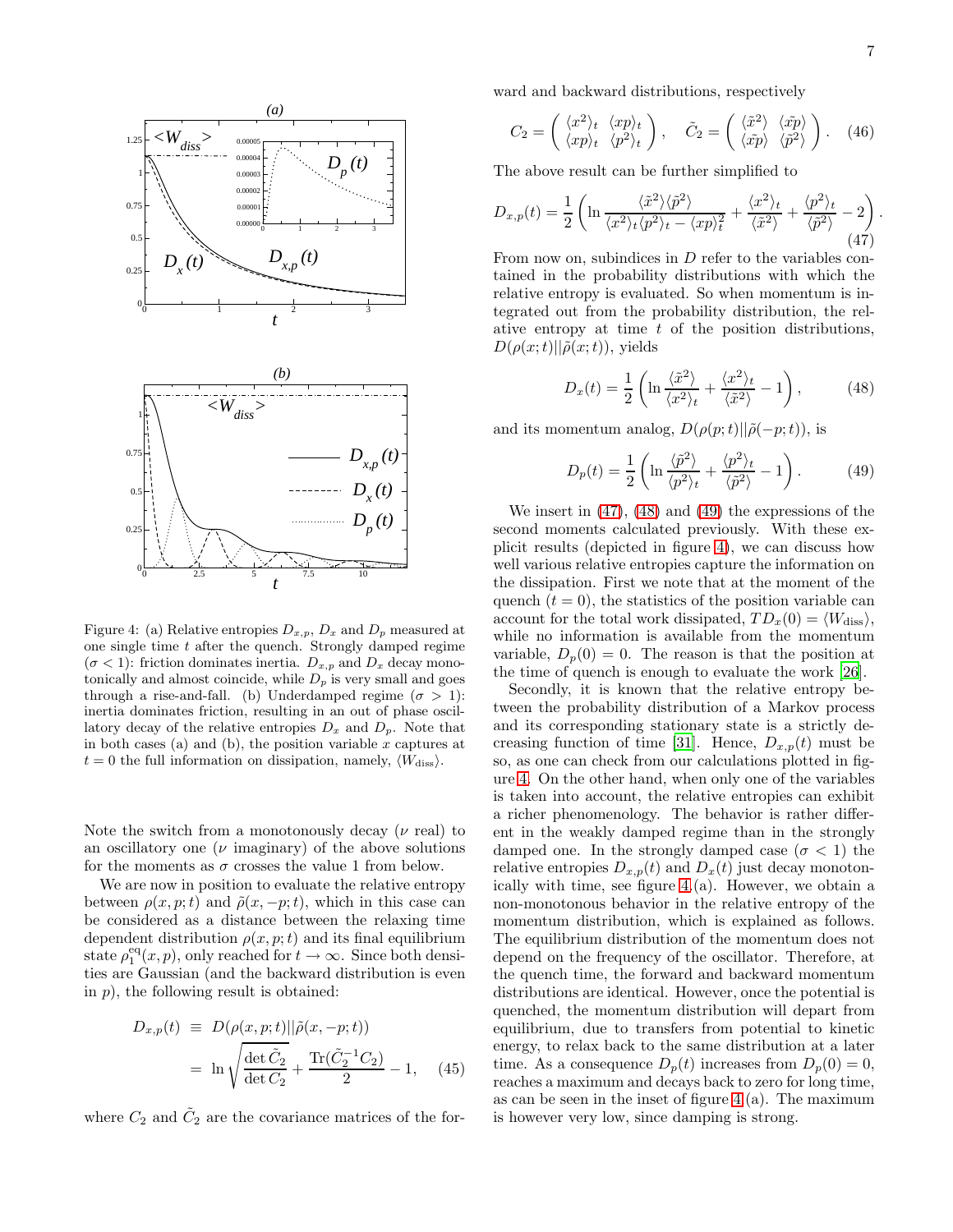

<span id="page-6-3"></span>Figure 4: (a) Relative entropies  $D_{x,p}$ ,  $D_x$  and  $D_p$  measured at one single time  $t$  after the quench. Strongly damped regime  $(\sigma < 1)$ : friction dominates inertia.  $D_{x,p}$  and  $D_x$  decay monotonically and almost coincide, while  $D_p$  is very small and goes through a rise-and-fall. (b) Underdamped regime  $(\sigma > 1)$ : inertia dominates friction, resulting in an out of phase oscillatory decay of the relative entropies  $D_x$  and  $D_p$ . Note that in both cases (a) and (b), the position variable  $x$  captures at  $t = 0$  the full information on dissipation, namely,  $\langle W_{\text{diss}} \rangle$ .

Note the switch from a monotonously decay  $(\nu \text{ real})$  to an oscillatory one  $(\nu \text{ imaginary})$  of the above solutions for the moments as  $\sigma$  crosses the value 1 from below.

We are now in position to evaluate the relative entropy between  $\rho(x, p; t)$  and  $\tilde{\rho}(x, -p; t)$ , which in this case can be considered as a distance between the relaxing time dependent distribution  $\rho(x, p; t)$  and its final equilibrium state  $\rho_1^{\text{eq}}(x, p)$ , only reached for  $t \to \infty$ . Since both densities are Gaussian (and the backward distribution is even in  $p$ ), the following result is obtained:

$$
D_{x,p}(t) \equiv D(\rho(x,p;t)||\tilde{\rho}(x,-p;t))
$$
  
=  $\ln \sqrt{\frac{\det \tilde{C}_2}{\det C_2}} + \frac{\operatorname{Tr}(\tilde{C}_2^{-1}C_2)}{2} - 1,$  (45)

where  $C_2$  and  $\tilde{C}_2$  are the covariance matrices of the for-

ward and backward distributions, respectively

$$
C_2 = \begin{pmatrix} \langle x^2 \rangle_t & \langle xp \rangle_t \\ \langle xp \rangle_t & \langle p^2 \rangle_t \end{pmatrix}, \quad \tilde{C}_2 = \begin{pmatrix} \langle \tilde{x}^2 \rangle & \langle \tilde{x}p \rangle \\ \langle \tilde{x}p \rangle & \langle \tilde{p}^2 \rangle \end{pmatrix}. \quad (46)
$$

The above result can be further simplified to

<span id="page-6-0"></span>
$$
D_{x,p}(t) = \frac{1}{2} \left( \ln \frac{\langle \tilde{x}^2 \rangle \langle \tilde{p}^2 \rangle}{\langle x^2 \rangle_t \langle p^2 \rangle_t - \langle xp \rangle_t^2} + \frac{\langle x^2 \rangle_t}{\langle \tilde{x}^2 \rangle} + \frac{\langle p^2 \rangle_t}{\langle \tilde{p}^2 \rangle} - 2 \right)
$$
(47)

From now on, subindices in D refer to the variables contained in the probability distributions with which the relative entropy is evaluated. So when momentum is integrated out from the probability distribution, the relative entropy at time  $t$  of the position distributions,  $D(\rho(x;t)||\tilde{\rho}(x;t))$ , yields

<span id="page-6-1"></span>
$$
D_x(t) = \frac{1}{2} \left( \ln \frac{\langle \tilde{x}^2 \rangle}{\langle \tilde{x}^2 \rangle_t} + \frac{\langle x^2 \rangle_t}{\langle \tilde{x}^2 \rangle} - 1 \right), \tag{48}
$$

and its momentum analog,  $D(\rho(p;t)||\tilde{\rho}(-p;t))$ , is

<span id="page-6-2"></span>
$$
D_p(t) = \frac{1}{2} \left( \ln \frac{\langle \tilde{p}^2 \rangle}{\langle p^2 \rangle_t} + \frac{\langle p^2 \rangle_t}{\langle \tilde{p}^2 \rangle} - 1 \right). \tag{49}
$$

We insert in [\(47\)](#page-6-0), [\(48\)](#page-6-1) and [\(49\)](#page-6-2) the expressions of the second moments calculated previously. With these explicit results (depicted in figure [4\)](#page-6-3), we can discuss how well various relative entropies capture the information on the dissipation. First we note that at the moment of the quench  $(t = 0)$ , the statistics of the position variable can account for the total work dissipated,  $TD_x(0) = \langle W_{\text{diss}} \rangle$ , while no information is available from the momentum variable,  $D_p(0) = 0$ . The reason is that the position at the time of quench is enough to evaluate the work [\[26\]](#page-10-25).

Secondly, it is known that the relative entropy between the probability distribution of a Markov process and its corresponding stationary state is a strictly de-creasing function of time [\[31\]](#page-10-30). Hence,  $D_{x,p}(t)$  must be so, as one can check from our calculations plotted in figure [4.](#page-6-3) On the other hand, when only one of the variables is taken into account, the relative entropies can exhibit a richer phenomenology. The behavior is rather different in the weakly damped regime than in the strongly damped one. In the strongly damped case ( $\sigma$  < 1) the relative entropies  $D_{x,p}(t)$  and  $D_x(t)$  just decay monotonically with time, see figure [4.](#page-6-3)(a). However, we obtain a non-monotonous behavior in the relative entropy of the momentum distribution, which is explained as follows. The equilibrium distribution of the momentum does not depend on the frequency of the oscillator. Therefore, at the quench time, the forward and backward momentum distributions are identical. However, once the potential is quenched, the momentum distribution will depart from equilibrium, due to transfers from potential to kinetic energy, to relax back to the same distribution at a later time. As a consequence  $D_p(t)$  increases from  $D_p(0) = 0$ , reaches a maximum and decays back to zero for long time, as can be seen in the inset of figure [4.](#page-6-3)(a). The maximum is however very low, since damping is strong.

.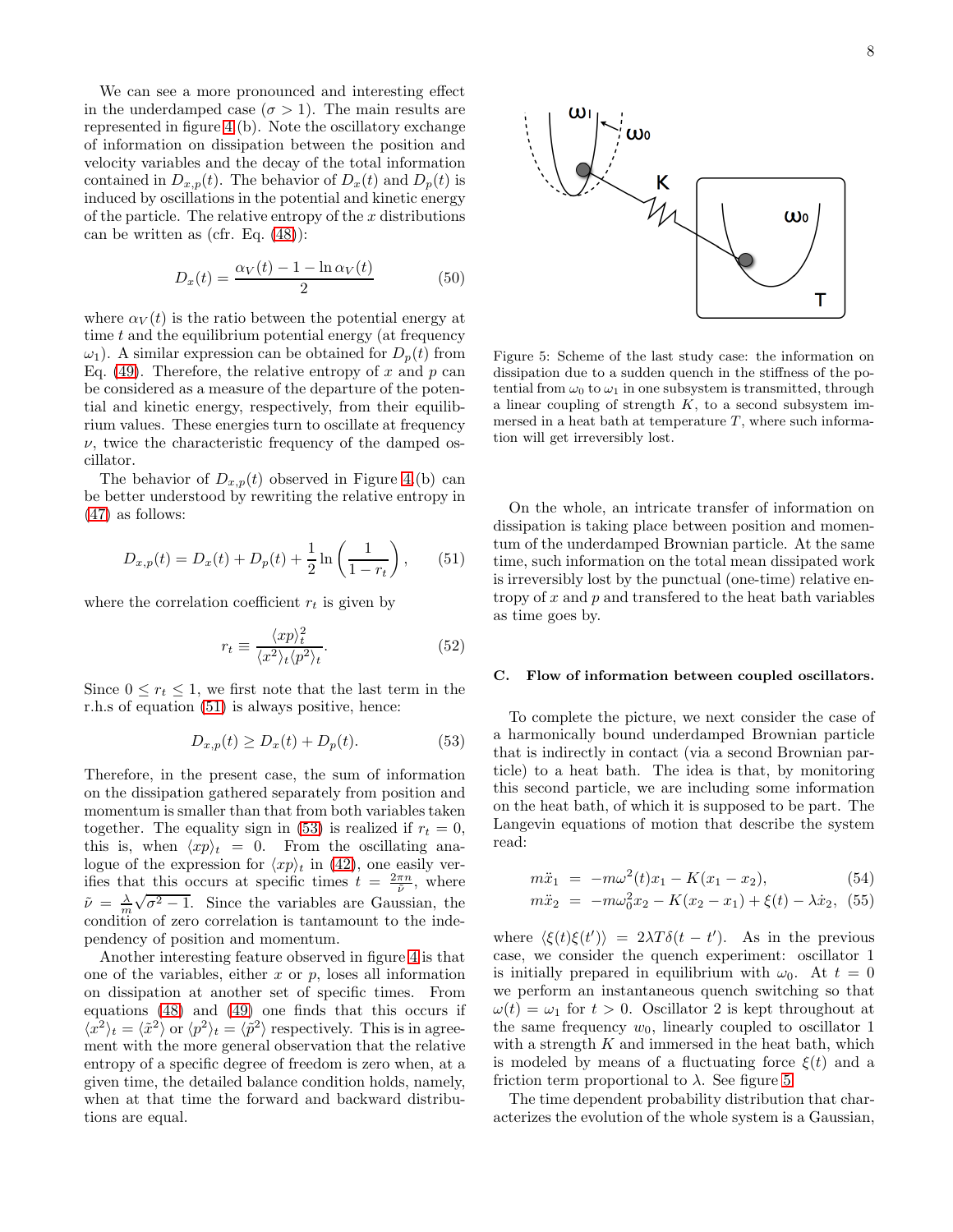We can see a more pronounced and interesting effect in the underdamped case  $(\sigma > 1)$ . The main results are represented in figure [4.](#page-6-3)(b). Note the oscillatory exchange of information on dissipation between the position and velocity variables and the decay of the total information contained in  $D_{x,p}(t)$ . The behavior of  $D_x(t)$  and  $D_p(t)$  is induced by oscillations in the potential and kinetic energy of the particle. The relative entropy of the  $x$  distributions can be written as (cfr. Eq. [\(48\)](#page-6-1)):

$$
D_x(t) = \frac{\alpha_V(t) - 1 - \ln \alpha_V(t)}{2} \tag{50}
$$

where  $\alpha_V(t)$  is the ratio between the potential energy at time t and the equilibrium potential energy (at frequency  $\omega_1$ ). A similar expression can be obtained for  $D_n(t)$  from Eq. [\(49\)](#page-6-2). Therefore, the relative entropy of x and p can be considered as a measure of the departure of the potential and kinetic energy, respectively, from their equilibrium values. These energies turn to oscillate at frequency  $\nu$ , twice the characteristic frequency of the damped oscillator.

The behavior of  $D_{x,p}(t)$  observed in Figure [4.](#page-6-3)(b) can be better understood by rewriting the relative entropy in [\(47\)](#page-6-0) as follows:

<span id="page-7-0"></span>
$$
D_{x,p}(t) = D_x(t) + D_p(t) + \frac{1}{2} \ln\left(\frac{1}{1 - r_t}\right),\qquad(51)
$$

where the correlation coefficient  $r_t$  is given by

$$
r_t \equiv \frac{\langle xp \rangle_t^2}{\langle x^2 \rangle_t \langle p^2 \rangle_t}.
$$
\n(52)

Since  $0 \leq r_t \leq 1$ , we first note that the last term in the r.h.s of equation [\(51\)](#page-7-0) is always positive, hence:

<span id="page-7-1"></span>
$$
D_{x,p}(t) \ge D_x(t) + D_p(t). \tag{53}
$$

Therefore, in the present case, the sum of information on the dissipation gathered separately from position and momentum is smaller than that from both variables taken together. The equality sign in [\(53\)](#page-7-1) is realized if  $r_t = 0$ , this is, when  $\langle xp \rangle_t = 0$ . From the oscillating analogue of the expression for  $\langle xp \rangle_t$  in [\(42\)](#page-5-5), one easily verifies that this occurs at specific times  $t = \frac{2\pi n}{\tilde{\nu}}$ , where  $\tilde{\nu} = \frac{\lambda}{m} \sqrt{\sigma^2 - 1}$ . Since the variables are Gaussian, the condition of zero correlation is tantamount to the independency of position and momentum.

Another interesting feature observed in figure [4](#page-6-3) is that one of the variables, either  $x$  or  $p$ , loses all information on dissipation at another set of specific times. From equations [\(48\)](#page-6-1) and [\(49\)](#page-6-2) one finds that this occurs if  $\langle x^2 \rangle_t = \langle \tilde{x}^2 \rangle$  or  $\langle p^2 \rangle_t = \langle \tilde{p}^2 \rangle$  respectively. This is in agreement with the more general observation that the relative entropy of a specific degree of freedom is zero when, at a given time, the detailed balance condition holds, namely, when at that time the forward and backward distributions are equal.



<span id="page-7-2"></span>Figure 5: Scheme of the last study case: the information on dissipation due to a sudden quench in the stiffness of the potential from  $\omega_0$  to  $\omega_1$  in one subsystem is transmitted, through a linear coupling of strength  $K$ , to a second subsystem immersed in a heat bath at temperature  $T$ , where such information will get irreversibly lost.

On the whole, an intricate transfer of information on dissipation is taking place between position and momentum of the underdamped Brownian particle. At the same time, such information on the total mean dissipated work is irreversibly lost by the punctual (one-time) relative entropy of  $x$  and  $p$  and transfered to the heat bath variables as time goes by.

## C. Flow of information between coupled oscillators.

To complete the picture, we next consider the case of a harmonically bound underdamped Brownian particle that is indirectly in contact (via a second Brownian particle) to a heat bath. The idea is that, by monitoring this second particle, we are including some information on the heat bath, of which it is supposed to be part. The Langevin equations of motion that describe the system read:

$$
m\ddot{x}_1 = -m\omega^2(t)x_1 - K(x_1 - x_2), \qquad (54)
$$

$$
m\ddot{x}_2 = -m\omega_0^2 x_2 - K(x_2 - x_1) + \xi(t) - \lambda \dot{x}_2, (55)
$$

where  $\langle \xi(t)\xi(t') \rangle = 2\lambda T \delta(t - t')$ . As in the previous case, we consider the quench experiment: oscillator 1 is initially prepared in equilibrium with  $\omega_0$ . At  $t = 0$ we perform an instantaneous quench switching so that  $\omega(t) = \omega_1$  for  $t > 0$ . Oscillator 2 is kept throughout at the same frequency  $w_0$ , linearly coupled to oscillator 1 with a strength  $K$  and immersed in the heat bath, which is modeled by means of a fluctuating force  $\xi(t)$  and a friction term proportional to  $\lambda$ . See figure [5.](#page-7-2)

The time dependent probability distribution that characterizes the evolution of the whole system is a Gaussian,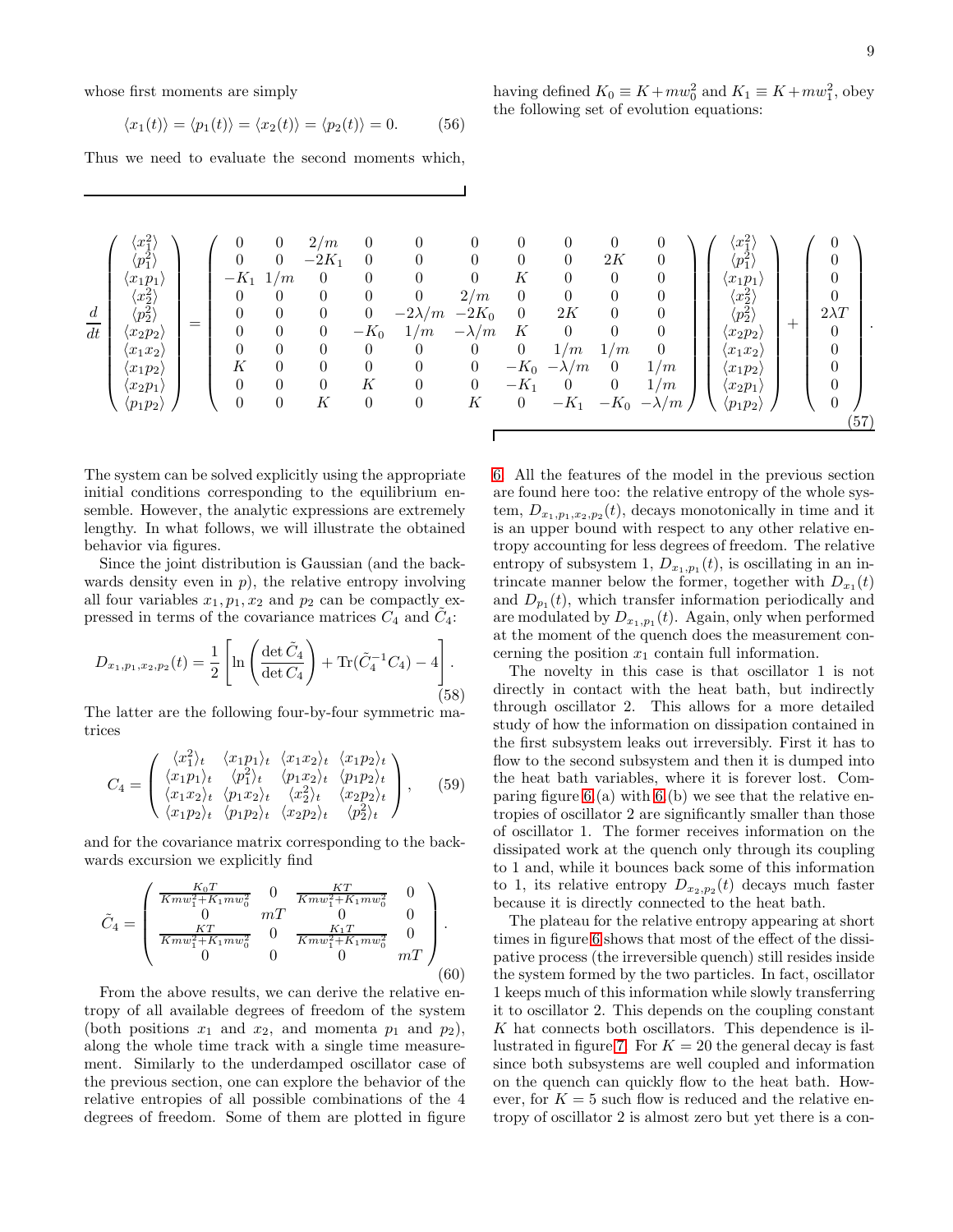whose first moments are simply

$$
\langle x_1(t) \rangle = \langle p_1(t) \rangle = \langle x_2(t) \rangle = \langle p_2(t) \rangle = 0. \quad (56)
$$

Thus we need to evaluate the second moments which,

| $\boldsymbol{d}$<br>$\overline{dt}$ | $\binom{x_1^2}{p_1^2}$<br>$\langle x_1p_1\rangle$<br>$\langle x_2^2\rangle\ \langle p_2^2\rangle$<br>$\langle x_2p_2\rangle$<br>$\langle x_1 x_2\rangle$<br>$\langle x_1p_2\rangle$<br>$\langle x_2p_1\rangle$<br>$\langle p_1p_2\rangle$ | = | 0<br>0<br>$-K_1$<br>$\theta$<br>$\boldsymbol{0}$<br>$\boldsymbol{0}$<br>0<br>K<br>$\theta$<br>$\boldsymbol{0}$ | $\theta$<br>$\overline{0}$<br>1/m<br>0<br>$\boldsymbol{0}$<br>$\boldsymbol{0}$<br>$\boldsymbol{0}$<br>$\theta$<br>$\boldsymbol{0}$<br>$\boldsymbol{0}$ | 2/m<br>$-2K_1$<br>0<br>$\theta$<br>$\theta$<br>$\overline{0}$<br>$\boldsymbol{0}$<br>$\theta$<br>$\boldsymbol{0}$<br>K | $\theta$<br>$\theta$<br>0<br>$\theta$<br>$\boldsymbol{0}$<br>$-K_0$<br>$\theta$<br>$\theta$<br>K<br>$\theta$ | 0<br>$\theta$<br>$-2\lambda/m$<br>1/m<br>0<br>$\theta$<br>0<br>$\theta$ | 0<br>0<br>2/m<br>$-2K_0$<br>$-\lambda/m$<br>$\theta$<br>$\overline{0}$<br>$\boldsymbol{0}$<br>К | K<br>$\theta$<br>$\theta$<br>К<br>$\theta$<br>$-K_1$<br>$\boldsymbol{0}$ | $\theta$<br>$\theta$<br>$\overline{0}$<br>$\theta$<br>2K<br>$\overline{0}$<br>1/m<br>$-K_0$ $-\lambda/m$<br>$-K_1$ | 0<br>2K<br>$\overline{0}$<br>$\overline{0}$<br>$\overline{0}$<br>$\theta$<br>1/m<br>$\overline{0}$<br>$\boldsymbol{0}$<br>$-K_0$ | 0<br>$\theta$<br>0<br>$\boldsymbol{0}$<br>$\boldsymbol{0}$<br>$\boldsymbol{0}$<br>$\theta$<br>1/m<br>1/m<br>$-\lambda/m$ | $x_1^2$<br>$\langle p_1^{\bar{2}} \rangle$<br>$\langle x_1p_1$<br>$\begin{smallmatrix} \langle x_2^2\rangle\ \langle p_2^2\rangle \end{smallmatrix}$<br>$\langle x_2p_2\rangle$<br>$\langle x_1 x_2\rangle$<br>$\langle x_1p_2\rangle$<br>$\langle x_2p_1$<br>$\langle p_1p_2\rangle$ | $^+$ | $2\lambda T$<br>$\theta$<br>$\overline{0}$ | (57) |
|-------------------------------------|-------------------------------------------------------------------------------------------------------------------------------------------------------------------------------------------------------------------------------------------|---|----------------------------------------------------------------------------------------------------------------|--------------------------------------------------------------------------------------------------------------------------------------------------------|------------------------------------------------------------------------------------------------------------------------|--------------------------------------------------------------------------------------------------------------|-------------------------------------------------------------------------|-------------------------------------------------------------------------------------------------|--------------------------------------------------------------------------|--------------------------------------------------------------------------------------------------------------------|----------------------------------------------------------------------------------------------------------------------------------|--------------------------------------------------------------------------------------------------------------------------|---------------------------------------------------------------------------------------------------------------------------------------------------------------------------------------------------------------------------------------------------------------------------------------|------|--------------------------------------------|------|
|                                     |                                                                                                                                                                                                                                           |   |                                                                                                                |                                                                                                                                                        |                                                                                                                        |                                                                                                              |                                                                         |                                                                                                 |                                                                          |                                                                                                                    |                                                                                                                                  |                                                                                                                          |                                                                                                                                                                                                                                                                                       |      |                                            |      |

The system can be solved explicitly using the appropriate initial conditions corresponding to the equilibrium ensemble. However, the analytic expressions are extremely lengthy. In what follows, we will illustrate the obtained behavior via figures.

Since the joint distribution is Gaussian (and the backwards density even in  $p$ ), the relative entropy involving all four variables  $x_1, p_1, x_2$  and  $p_2$  can be compactly expressed in terms of the covariance matrices  $C_4$  and  $\tilde{C}_4$ :

$$
D_{x_1, p_1, x_2, p_2}(t) = \frac{1}{2} \left[ \ln \left( \frac{\det \tilde{C}_4}{\det C_4} \right) + \text{Tr}(\tilde{C}_4^{-1} C_4) - 4 \right].
$$
\n(58)

The latter are the following four-by-four symmetric matrices

$$
C_4 = \begin{pmatrix} \langle x_1^2 \rangle_t & \langle x_1 p_1 \rangle_t & \langle x_1 x_2 \rangle_t & \langle x_1 p_2 \rangle_t \\ \langle x_1 p_1 \rangle_t & \langle p_1^2 \rangle_t & \langle p_1 x_2 \rangle_t & \langle p_1 p_2 \rangle_t \\ \langle x_1 x_2 \rangle_t & \langle p_1 x_2 \rangle_t & \langle x_2^2 \rangle_t & \langle x_2 p_2 \rangle_t \\ \langle x_1 p_2 \rangle_t & \langle p_1 p_2 \rangle_t & \langle x_2 p_2 \rangle_t & \langle p_2^2 \rangle_t \end{pmatrix}, \quad (59)
$$

and for the covariance matrix corresponding to the backwards excursion we explicitly find

$$
\tilde{C}_4 = \begin{pmatrix}\n\frac{K_0 T}{K m w_1^2 + K_1 m w_0^2} & 0 & \frac{K T}{K m w_1^2 + K_1 m w_0^2} & 0 \\
0 & mT & 0 & 0 \\
\frac{K T}{K m w_1^2 + K_1 m w_0^2} & 0 & \frac{K_1 T}{K m w_1^2 + K_1 m w_0^2} & 0 \\
0 & 0 & 0 & mT\n\end{pmatrix}.
$$
\n(60)

From the above results, we can derive the relative entropy of all available degrees of freedom of the system (both positions  $x_1$  and  $x_2$ , and momenta  $p_1$  and  $p_2$ ), along the whole time track with a single time measurement. Similarly to the underdamped oscillator case of the previous section, one can explore the behavior of the relative entropies of all possible combinations of the 4 degrees of freedom. Some of them are plotted in figure [6.](#page-9-0) All the features of the model in the previous section are found here too: the relative entropy of the whole system,  $D_{x_1,p_1,x_2,p_2}(t)$ , decays monotonically in time and it is an upper bound with respect to any other relative entropy accounting for less degrees of freedom. The relative entropy of subsystem 1,  $D_{x_1,p_1}(t)$ , is oscillating in an intrincate manner below the former, together with  $D_{x_1}(t)$ and  $D_{p_1}(t)$ , which transfer information periodically and are modulated by  $D_{x_1,p_1}(t)$ . Again, only when performed at the moment of the quench does the measurement concerning the position  $x_1$  contain full information.

The novelty in this case is that oscillator 1 is not directly in contact with the heat bath, but indirectly through oscillator 2. This allows for a more detailed study of how the information on dissipation contained in the first subsystem leaks out irreversibly. First it has to flow to the second subsystem and then it is dumped into the heat bath variables, where it is forever lost. Comparing figure  $6(a)$  with  $6(b)$  we see that the relative entropies of oscillator 2 are significantly smaller than those of oscillator 1. The former receives information on the dissipated work at the quench only through its coupling to 1 and, while it bounces back some of this information to 1, its relative entropy  $D_{x_2,p_2}(t)$  decays much faster because it is directly connected to the heat bath.

The plateau for the relative entropy appearing at short times in figure [6](#page-9-0) shows that most of the effect of the dissipative process (the irreversible quench) still resides inside the system formed by the two particles. In fact, oscillator 1 keeps much of this information while slowly transferring it to oscillator 2. This depends on the coupling constant K hat connects both oscillators. This dependence is il-lustrated in figure [7.](#page-9-1) For  $K = 20$  the general decay is fast since both subsystems are well coupled and information on the quench can quickly flow to the heat bath. However, for  $K = 5$  such flow is reduced and the relative entropy of oscillator 2 is almost zero but yet there is a con-

having defined 
$$
K_0 \equiv K + m w_0^2
$$
 and  $K_1 \equiv K + m w_1^2$ , obey  
the following set of evolution equations: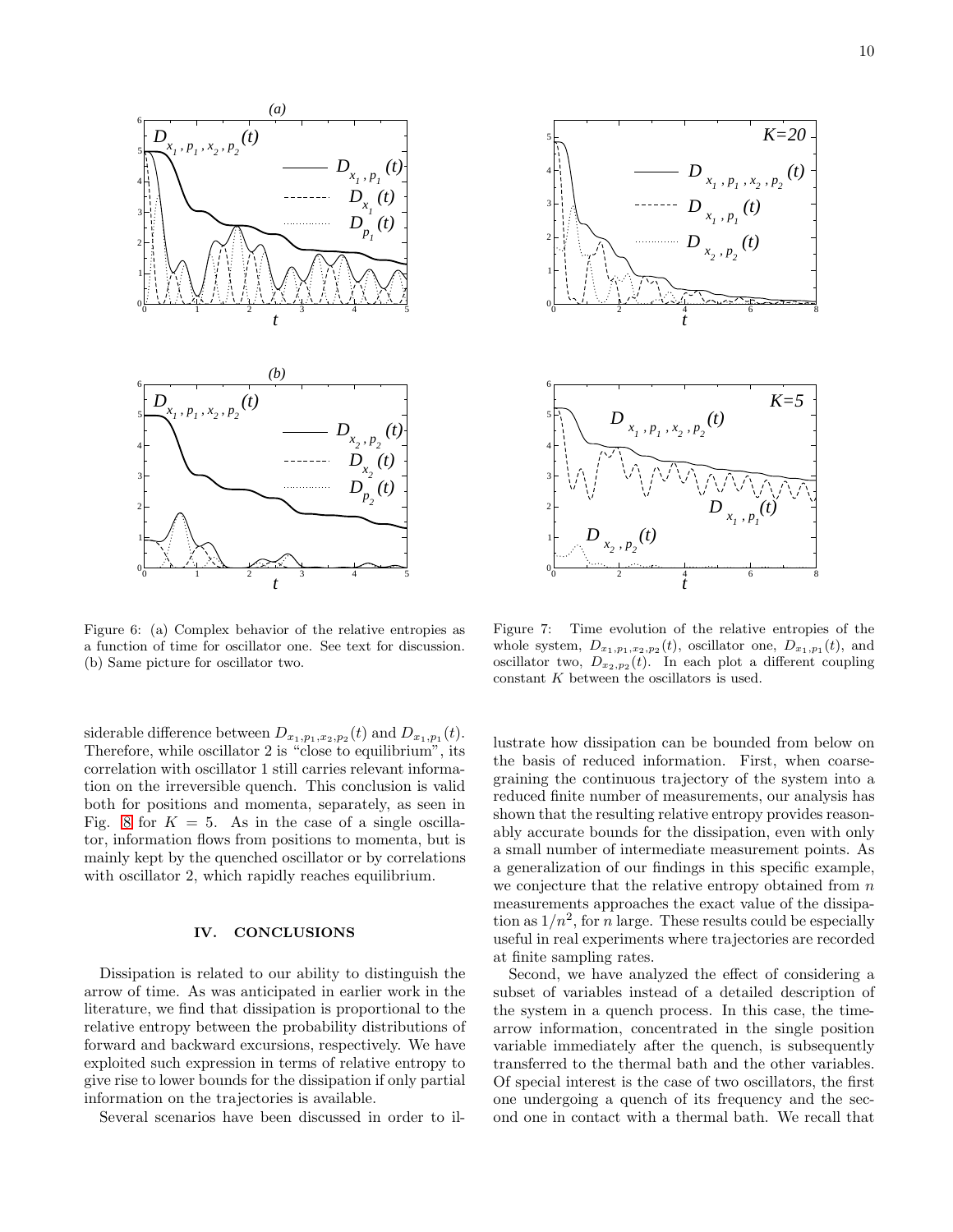

<span id="page-9-0"></span>Figure 6: (a) Complex behavior of the relative entropies as a function of time for oscillator one. See text for discussion. (b) Same picture for oscillator two.

siderable difference between  $D_{x_1,p_1,x_2,p_2}(t)$  and  $D_{x_1,p_1}(t)$ . Therefore, while oscillator 2 is "close to equilibrium", its correlation with oscillator 1 still carries relevant information on the irreversible quench. This conclusion is valid both for positions and momenta, separately, as seen in Fig. [8](#page-10-40) for  $K = 5$ . As in the case of a single oscillator, information flows from positions to momenta, but is mainly kept by the quenched oscillator or by correlations with oscillator 2, which rapidly reaches equilibrium.

## IV. CONCLUSIONS

Dissipation is related to our ability to distinguish the arrow of time. As was anticipated in earlier work in the literature, we find that dissipation is proportional to the relative entropy between the probability distributions of forward and backward excursions, respectively. We have exploited such expression in terms of relative entropy to give rise to lower bounds for the dissipation if only partial information on the trajectories is available.

Several scenarios have been discussed in order to il-



<span id="page-9-1"></span>Figure 7: Time evolution of the relative entropies of the whole system,  $D_{x_1,p_1,x_2,p_2}(t)$ , oscillator one,  $D_{x_1,p_1}(t)$ , and oscillator two,  $D_{x_2,p_2}(t)$ . In each plot a different coupling constant K between the oscillators is used.

lustrate how dissipation can be bounded from below on the basis of reduced information. First, when coarsegraining the continuous trajectory of the system into a reduced finite number of measurements, our analysis has shown that the resulting relative entropy provides reasonably accurate bounds for the dissipation, even with only a small number of intermediate measurement points. As a generalization of our findings in this specific example, we conjecture that the relative entropy obtained from  $n$ measurements approaches the exact value of the dissipation as  $1/n^2$ , for *n* large. These results could be especially useful in real experiments where trajectories are recorded at finite sampling rates.

Second, we have analyzed the effect of considering a subset of variables instead of a detailed description of the system in a quench process. In this case, the timearrow information, concentrated in the single position variable immediately after the quench, is subsequently transferred to the thermal bath and the other variables. Of special interest is the case of two oscillators, the first one undergoing a quench of its frequency and the second one in contact with a thermal bath. We recall that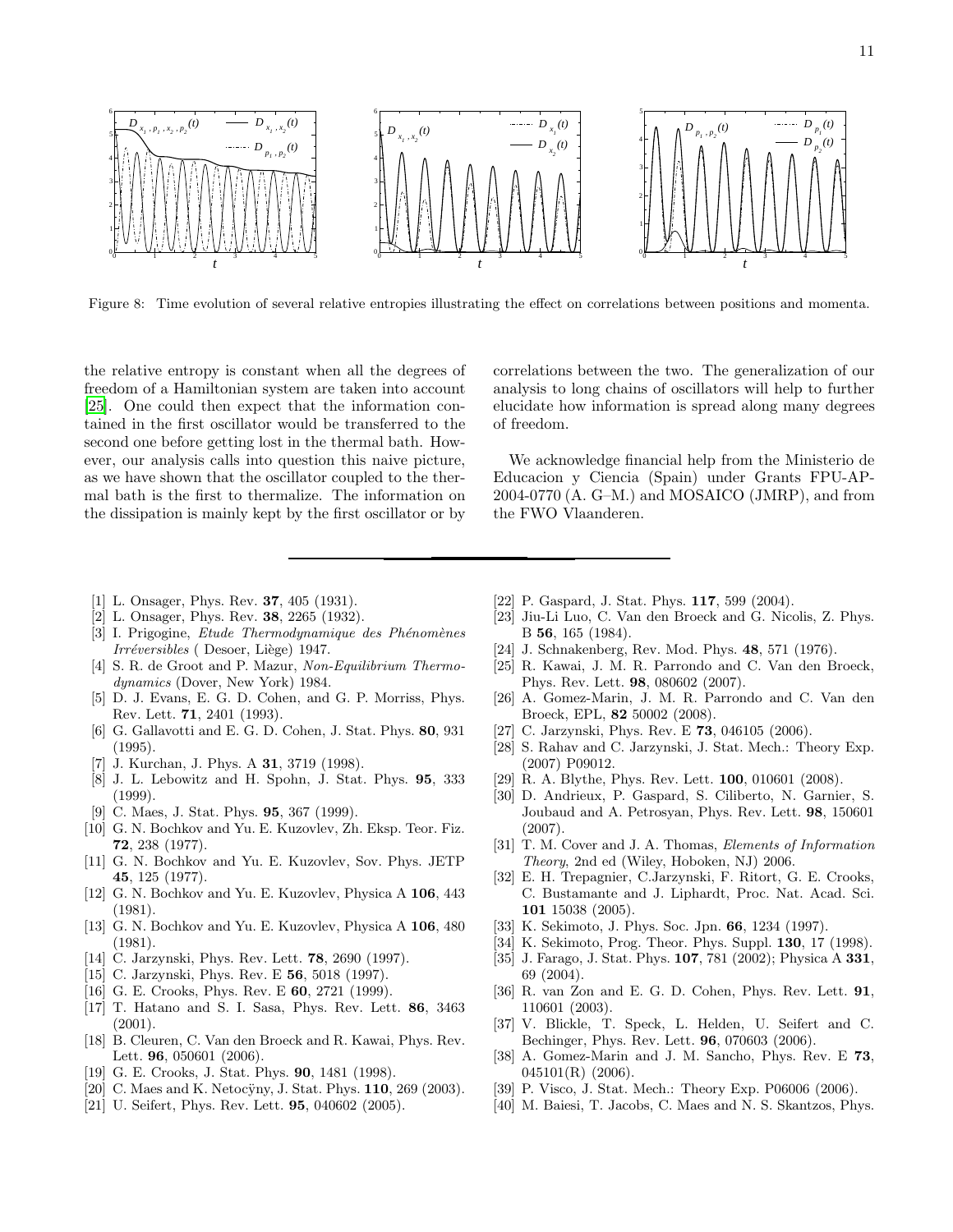

<span id="page-10-40"></span>Figure 8: Time evolution of several relative entropies illustrating the effect on correlations between positions and momenta.

the relative entropy is constant when all the degrees of freedom of a Hamiltonian system are taken into account [\[25\]](#page-10-24). One could then expect that the information contained in the first oscillator would be transferred to the second one before getting lost in the thermal bath. However, our analysis calls into question this naive picture, as we have shown that the oscillator coupled to the thermal bath is the first to thermalize. The information on the dissipation is mainly kept by the first oscillator or by

correlations between the two. The generalization of our analysis to long chains of oscillators will help to further elucidate how information is spread along many degrees of freedom.

We acknowledge financial help from the Ministerio de Educacion y Ciencia (Spain) under Grants FPU-AP-2004-0770 (A. G–M.) and MOSAICO (JMRP), and from the FWO Vlaanderen.

- <span id="page-10-0"></span>[1] L. Onsager, Phys. Rev. **37**, 405 (1931).
- <span id="page-10-1"></span>[2] L. Onsager, Phys. Rev. 38, 2265 (1932).
- <span id="page-10-2"></span>[3] I. Prigogine, Etude Thermodynamique des Phénomènes Irréversibles ( Desoer, Liège) 1947.
- <span id="page-10-3"></span>[4] S. R. de Groot and P. Mazur, Non-Equilibrium Thermodynamics (Dover, New York) 1984.
- <span id="page-10-4"></span>[5] D. J. Evans, E. G. D. Cohen, and G. P. Morriss, Phys. Rev. Lett. 71, 2401 (1993).
- <span id="page-10-5"></span>[6] G. Gallavotti and E. G. D. Cohen, J. Stat. Phys. 80, 931 (1995).
- <span id="page-10-6"></span>[7] J. Kurchan, J. Phys. A **31**, 3719 (1998).
- <span id="page-10-7"></span>[8] J. L. Lebowitz and H. Spohn, J. Stat. Phys. 95, 333 (1999).
- <span id="page-10-8"></span>[9] C. Maes, J. Stat. Phys. **95**, 367 (1999).
- <span id="page-10-9"></span>[10] G. N. Bochkov and Yu. E. Kuzovlev, Zh. Eksp. Teor. Fiz. 72, 238 (1977).
- <span id="page-10-10"></span>[11] G. N. Bochkov and Yu. E. Kuzovlev, Sov. Phys. JETP 45, 125 (1977).
- <span id="page-10-11"></span>[12] G. N. Bochkov and Yu. E. Kuzovlev, Physica A 106, 443 (1981).
- <span id="page-10-12"></span>[13] G. N. Bochkov and Yu. E. Kuzovlev, Physica A 106, 480 (1981).
- <span id="page-10-13"></span>[14] C. Jarzynski, Phys. Rev. Lett. 78, 2690 (1997).
- <span id="page-10-14"></span>[15] C. Jarzynski, Phys. Rev. E 56, 5018 (1997).
- <span id="page-10-15"></span>[16] G. E. Crooks, Phys. Rev. E **60**, 2721 (1999).
- <span id="page-10-16"></span>[17] T. Hatano and S. I. Sasa, Phys. Rev. Lett. 86, 3463 (2001).
- <span id="page-10-17"></span>[18] B. Cleuren, C. Van den Broeck and R. Kawai, Phys. Rev. Lett. **96**, 050601 (2006).
- <span id="page-10-18"></span>[19] G. E. Crooks, J. Stat. Phys. **90**, 1481 (1998).
- <span id="page-10-19"></span>[20] C. Maes and K. Netocÿny, J. Stat. Phys. 110, 269 (2003).
- <span id="page-10-20"></span>[21] U. Seifert, Phys. Rev. Lett. **95**, 040602 (2005).
- <span id="page-10-21"></span>[22] P. Gaspard, J. Stat. Phys. **117**, 599 (2004).
- <span id="page-10-22"></span>[23] Jiu-Li Luo, C. Van den Broeck and G. Nicolis, Z. Phys. B 56, 165 (1984).
- <span id="page-10-23"></span>[24] J. Schnakenberg, Rev. Mod. Phys. 48, 571 (1976).
- <span id="page-10-24"></span>[25] R. Kawai, J. M. R. Parrondo and C. Van den Broeck, Phys. Rev. Lett. 98, 080602 (2007).
- <span id="page-10-25"></span>[26] A. Gomez-Marin, J. M. R. Parrondo and C. Van den Broeck, EPL, 82 50002 (2008).
- <span id="page-10-26"></span>[27] C. Jarzynski, Phys. Rev. E **73**, 046105 (2006).
- <span id="page-10-27"></span>[28] S. Rahav and C. Jarzynski, J. Stat. Mech.: Theory Exp. (2007) P09012.
- <span id="page-10-28"></span>[29] R. A. Blythe, Phys. Rev. Lett. 100, 010601 (2008).
- <span id="page-10-29"></span>[30] D. Andrieux, P. Gaspard, S. Ciliberto, N. Garnier, S. Joubaud and A. Petrosyan, Phys. Rev. Lett. 98, 150601 (2007).
- <span id="page-10-30"></span>[31] T. M. Cover and J. A. Thomas, Elements of Information Theory, 2nd ed (Wiley, Hoboken, NJ) 2006.
- <span id="page-10-31"></span>[32] E. H. Trepagnier, C.Jarzynski, F. Ritort, G. E. Crooks, C. Bustamante and J. Liphardt, Proc. Nat. Acad. Sci. 101 15038 (2005).
- <span id="page-10-32"></span>[33] K. Sekimoto, J. Phys. Soc. Jpn. 66, 1234 (1997).
- <span id="page-10-33"></span>[34] K. Sekimoto, Prog. Theor. Phys. Suppl. **130**, 17 (1998).
- <span id="page-10-34"></span>[35] J. Farago, J. Stat. Phys. 107, 781 (2002); Physica A 331, 69 (2004).
- <span id="page-10-35"></span>[36] R. van Zon and E. G. D. Cohen, Phys. Rev. Lett. 91, 110601 (2003).
- <span id="page-10-36"></span>[37] V. Blickle, T. Speck, L. Helden, U. Seifert and C. Bechinger, Phys. Rev. Lett. 96, 070603 (2006).
- <span id="page-10-37"></span>[38] A. Gomez-Marin and J. M. Sancho, Phys. Rev. E 73, 045101(R) (2006).
- <span id="page-10-38"></span>[39] P. Visco, J. Stat. Mech.: Theory Exp. P06006 (2006).
- <span id="page-10-39"></span>[40] M. Baiesi, T. Jacobs, C. Maes and N. S. Skantzos, Phys.